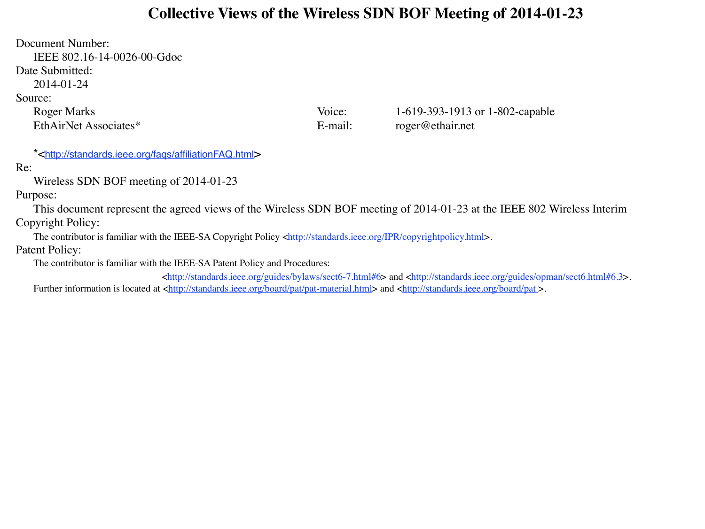#### **Collective Views of the Wireless SDN BOF Meeting of 2014-01-23**

Document Number: IEEE 802.16-14-0026-00-Gdoc Date Submitted: 2014-01-24 Source: Roger Marks Voice: 1-619-393-1913 or 1-802-capable EthAirNet Associates\* E-mail: roger@ethair.net

\*[<http://standards.ieee.org/faqs/affiliationFAQ.html>](http://standards.ieee.org/faqs/affiliationFAQ.html)

Re:

Wireless SDN BOF meeting of 2014-01-23

Purpose:

This document represent the agreed views of the Wireless SDN BOF meeting of 2014-01-23 at the IEEE 802 Wireless Interim Copyright Policy:

The contributor is familiar with the IEEE-SA Copyright Policy <http://standards.ieee.org/IPR/copyrightpolicy.html>.

Patent Policy:

The contributor is familiar with the IEEE-SA Patent Policy and Procedures:

 $\text{th}(t)$ ://standards.ieee.org/guides/bylaws/sect6-[7.html#6>](http://standards.ieee.org/guides/bylaws/sect6-7.html) and <http://standards.ieee.org/guides/opman[/sect6.html#6.3>](http://standards.ieee.org/guides/opman/sect6.html). Further information is located at [<http://standards.ieee.org/board/pat/pat-material.html>](http://standards.ieee.org/board/pat/pat-material.html) and [<http://standards.ieee.org/board/pat](http://standards.ieee.org/board/pat) >.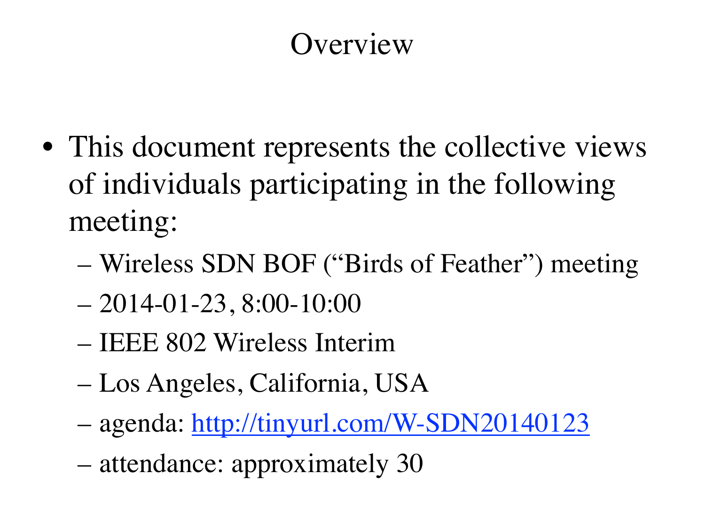#### **Overview**

- This document represents the collective views of individuals participating in the following meeting:
	- Wireless SDN BOF ("Birds of Feather") meeting
	- $-2014-01-23$ ,  $8:00-10:00$
	- IEEE 802 Wireless Interim
	- Los Angeles, California, USA
	- agenda:<http://tinyurl.com/W-SDN20140123>
	- attendance: approximately 30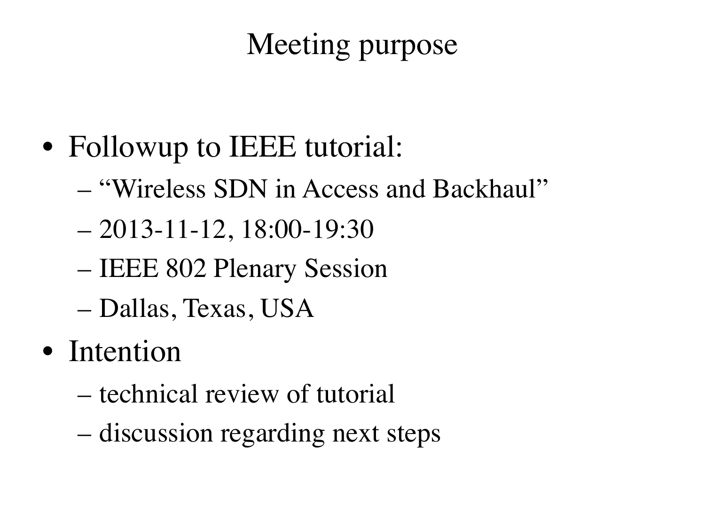## Meeting purpose

- Followup to IEEE tutorial:
	- "Wireless SDN in Access and Backhaul"
	- 2013-11-12, 18:00-19:30
	- IEEE 802 Plenary Session
	- Dallas, Texas, USA
- Intention
	- technical review of tutorial
	- discussion regarding next steps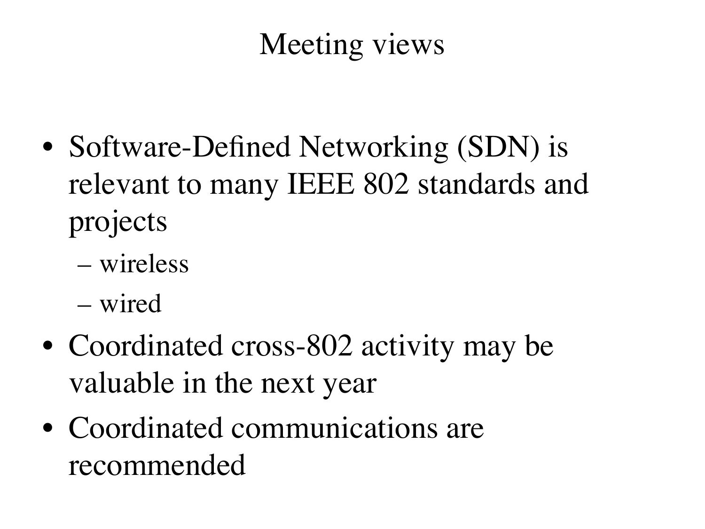## Meeting views

- Software-Defined Networking *(SDN)* is relevant to many IEEE 802 standards and projects
	- wireless
	- wired
- Coordinated cross-802 activity may be valuable in the next year
- Coordinated communications are recommended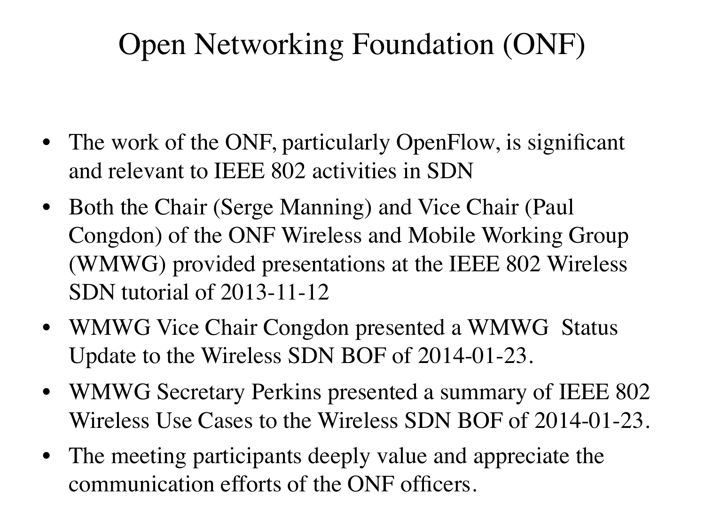## Open Networking Foundation (ONF)

- The work of the ONF, particularly OpenFlow, is significant and relevant to IEEE 802 activities in SDN
- Both the Chair (Serge Manning) and Vice Chair (Paul Congdon) of the ONF Wireless and Mobile Working Group (WMWG) provided presentations at the IEEE 802 Wireless SDN tutorial of 2013-11-12
- WMWG Vice Chair Congdon presented a WMWG Status Update to the Wireless SDN BOF of 2014-01-23.
- WMWG Secretary Perkins presented a summary of IEEE 802 Wireless Use Cases to the Wireless SDN BOF of 2014-01-23.
- The meeting participants deeply value and appreciate the communication efforts of the ONF officers.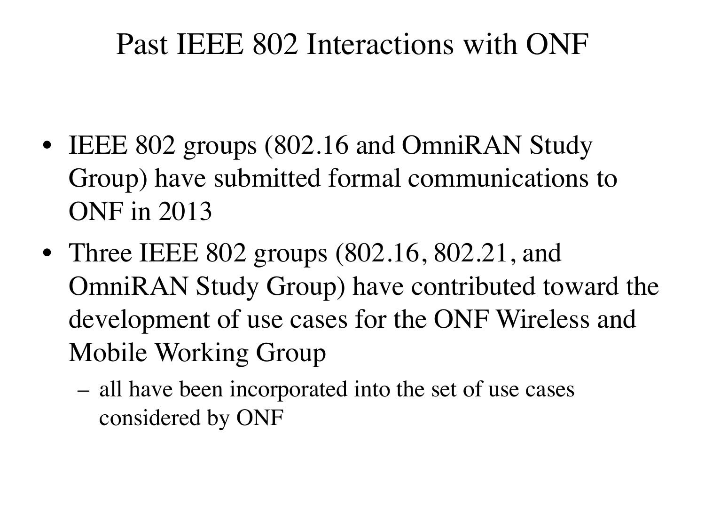#### Past IEEE 802 Interactions with ONF

- IEEE 802 groups (802.16 and OmniRAN Study Group) have submitted formal communications to ONF in 2013
- Three IEEE 802 groups (802.16, 802.21, and OmniRAN Study Group) have contributed toward the development of use cases for the ONF Wireless and Mobile Working Group
	- all have been incorporated into the set of use cases considered by ONF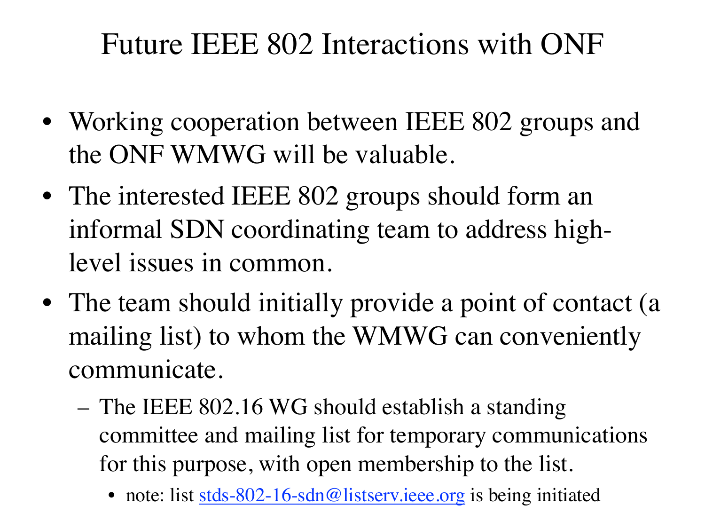## Future IEEE 802 Interactions with ONF

- Working cooperation between IEEE 802 groups and the ONF WMWG will be valuable.
- The interested IEEE 802 groups should form an informal SDN coordinating team to address highlevel issues in common.
- The team should initially provide a point of contact (a mailing list) to whom the WMWG can conveniently communicate.
	- The IEEE 802.16 WG should establish a standing committee and mailing list for temporary communications for this purpose, with open membership to the list.
		- note: list [stds-802-16-sdn@listserv.ieee.org](mailto:stds-802-16-sdn@listserv.ieee.org) is being initiated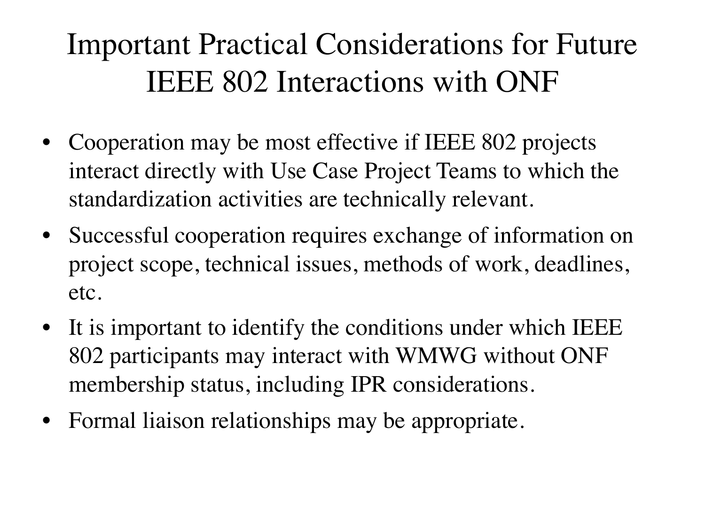## Important Practical Considerations for Future IEEE 802 Interactions with ONF

- Cooperation may be most effective if IEEE 802 projects interact directly with Use Case Project Teams to which the standardization activities are technically relevant.
- Successful cooperation requires exchange of information on project scope, technical issues, methods of work, deadlines, etc.
- It is important to identify the conditions under which IEEE 802 participants may interact with WMWG without ONF membership status, including IPR considerations.
- Formal liaison relationships may be appropriate.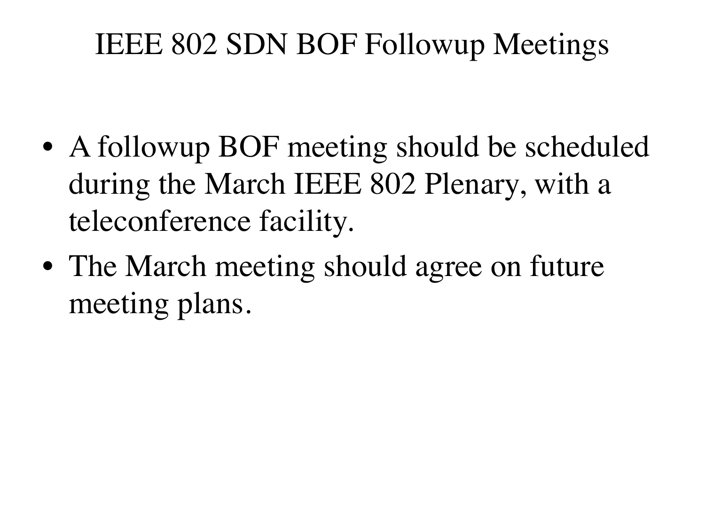## IEEE 802 SDN BOF Followup Meetings

- A followup BOF meeting should be scheduled during the March IEEE 802 Plenary, with a teleconference facility.
- The March meeting should agree on future meeting plans.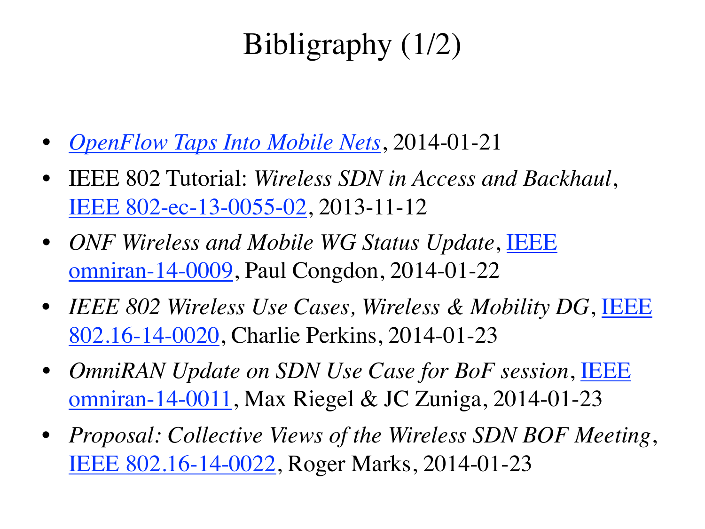# Bibligraphy (1/2)

- *[OpenFlow Taps Into Mobile Nets](http://www.eetimes.com/document.asp?doc_id=1320719)*, 2014-01-21
- IEEE 802 Tutorial: *Wireless SDN in Access and Backhaul*, [IEEE 802-ec-13-0055-02,](https://mentor.ieee.org/802-ec/dcn/13/ec-13-0055) 2013-11-12
- *ONF Wireless and Mobile WG Status Update*, [IEEE](https://mentor.ieee.org/omniran/dcn/14/omniran-14-0009)  [omniran-14-0009,](https://mentor.ieee.org/omniran/dcn/14/omniran-14-0009) Paul Congdon, 2014-01-22
- *IEEE 802 Wireless Use Cases, Wireless & Mobility DG*, [IEEE](http://doc.wirelessman.org/16-14-0020)  [802.16-14-0020,](http://doc.wirelessman.org/16-14-0020) Charlie Perkins, 2014-01-23
- *OmniRAN Update on SDN Use Case for BoF session*, [IEEE](https://mentor.ieee.org/omniran/dcn/14/omniran-14-0011)  [omniran-14-0011,](https://mentor.ieee.org/omniran/dcn/14/omniran-14-0011) Max Riegel & JC Zuniga, 2014-01-23
- *Proposal: Collective Views of the Wireless SDN BOF Meeting*, [IEEE 802.16-14-0022,](http://doc.wirelessman.org/16-14-0022) Roger Marks, 2014-01-23